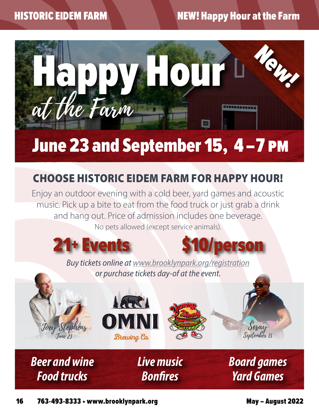# HISTORIC EIDEM FARM NEW! Happy Hour at the Farm



# June 23 and September 15, 4 –7 pm

# CHOOSE HISTORIC EIDEM FARM FOR HAPPY HOUR!

Enjoy an outdoor evening with a cold beer, yard games and acoustic music. Pick up a bite to eat from the food truck or just grab a drink and hang out. Price of admission includes one beverage. No pets allowed (except service animals).





*Buy tickets online at www.brooklynpark.org/registration or purchase tickets day-of at the event.*

*Live music*

*Bonfires*



*Beer and wine*

*Food trucks*





*Board games Yard Games*

Sesay September 15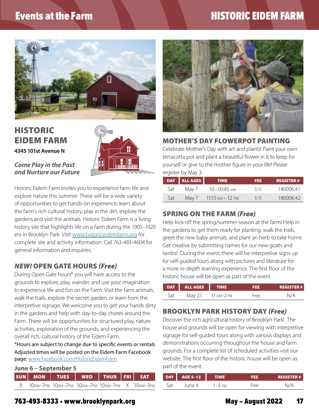## Events at the Farm **Execution Control Control Control Control Control Control Control Control Control Control Control Control Control Control Control Control Control Control Control Control Control Control Control Control**



### HISTORIC EIDEM FARM **4345 101st Avenue N**



#### *Come Play in the Past and Nurture our Future*

Historic Eidem Farm invites you to experience farm life and explore nature this summer. There will be a wide variety of opportunities to get hands-on experience, learn about the farm's rich cultural history, play in the dirt, explore the gardens and visit the animals. Historic Eidem Farm is a living history site that highlights life on a farm during the 1905–1920 era in Brooklyn Park. Visit [www.historiceidemfarm.org](http://www.historiceidemfarm.org) for complete site and activity information. Call 763-493-4604 for general information and inquiries.

#### *NEW!* OPEN GATE HOURS *(Free)*

During Open Gate hours\* you will have access to the grounds to explore, play, wander, and use your imagination to experience life and fun on the Farm. Visit the farm animals, walk the trails, explore the secret garden, or learn from the interpretive signage. We welcome you to get your hands dirty in the gardens and help with day-to-day chores around the Farm. There will be opportunities for structured play, nature activities, exploration of the grounds, and experiencing the overall rich, cultural history of the Eidem Farm.

\*Hours are subject to change due to specific events or rentals Adjusted times will be posted on the Eidem Farm Facebook page: [www.Facebook.com/HistoricEidemFarm](http://www.Facebook.com/HistoricEidemFarm)

|  | June 6 - September 5                                  |  |
|--|-------------------------------------------------------|--|
|  | $\lceil$ ciin $\lceil$ Mon $\lceil$ Tiec $\lceil$ Wen |  |

| X 10am—7pm 10am—7pm 10am—7pm 10am—7pm X 10am—3pm |  |  |  |
|--------------------------------------------------|--|--|--|

THUR FRI SAT



#### MOTHER'S DAY FLOWERPOT PAINTING

Celebrate Mother's Day with art and plants! Paint your own terracotta pot and plant a beautiful flower in it to keep for yourself or give to the mother figure in your life! Please register by May 3.

|     | DAY ALL AGES | <b>TIME</b>         | FEE. | <b>REGISTER#</b> |
|-----|--------------|---------------------|------|------------------|
| Sat | Mav 7        | 10–10:45 am         | \$15 | 180006.41        |
| Sat | Mav 7        | $11:15$ AM $-12$ PM | \$15 | 180006.42        |

### SPRING ON THE FARM *(Free)*

Help kick-off the spring/summer season at the farm! Help in the gardens to get them ready for planting, walk the trails, greet the new baby animals, and plant an herb to take home. Get creative by submitting names for our new goats and lambs! During the event, there will be interpretive signs up for self-guided tours along with pictures and literature for a more in-depth learning experience. The first floor of the historic house will be open as part of the event.

| DAY | <b>ALL AGES</b> | <b>TIME</b> | 13 S | <b>REGISTER#</b> |
|-----|-----------------|-------------|------|------------------|
| Sat | May 21          | 11 ам—2 рм  | Free | N/A              |

#### BROOKLYN PARK HISTORY DAY *(Free)*

Discover the rich agricultural history of Brooklyn Park! The house and grounds will be open for viewing with interpretive signage for self-guided tours along with various displays and demonstrations occurring throughout the house and farm grounds. For a complete list of scheduled activities visit our website. The first floor of the historic house will be open as part of the event.

| <b>DAY</b> AGE 5-12 |         |      | <b>REGISTER#</b> |
|---------------------|---------|------|------------------|
| li ina 4            | $-3$ PM | Free |                  |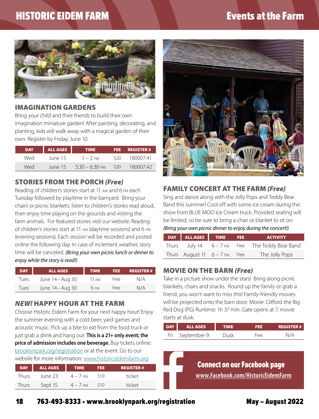# HISTORIC EIDEM FARM **Extending the Fact of Structure Control** Events at the Farm



#### IMAGINATION GARDENS

Bring your child and their friends to build their own imagination miniature garden! After painting, decorating, and planting, kids will walk away with a magical garden of their own. Register by Friday, June 10.

| <b>DAY</b> | <b>ALL AGES</b> | <b>TIME</b>      |                 | FEE REGISTER# |
|------------|-----------------|------------------|-----------------|---------------|
| Wed        | June 15         | $1 - 2$ PM       | S20.            | 180007.41     |
| Wed        | June 15         | $5.30 - 6.30$ PM | S <sub>20</sub> | 180007.42     |
|            |                 |                  |                 |               |

#### STORIES FROM THE PORCH *(Free)*

Reading of children's stories start at 11 am and 6 pm each Tuesday followed by playtime in the barnyard. Bring your chairs or picnic blankets, listen to children's stories read aloud, then enjoy time playing on the grounds and visiting the farm animals. For featured stories visit our website. Reading of children's stories start at 11 am (daytime sessions) and 6 pm (evening sessions). Each session will be recorded and posted online the following day. In case of inclement weather, story time will be canceled. *(Bring your own picnic lunch or dinner to enjoy while the story is read!)*

| <b>DAY</b> | <b>ALL AGES</b>  | TIME <sup>®</sup> | FEE. | <b>REGISTER#</b> |
|------------|------------------|-------------------|------|------------------|
| lues.      | June 14 – Aug 30 | 11 am             | Free | N/A              |
| Tues       | June 14 – Aug 30 | 6 PM              | Free | N/A              |

#### *NEW!* HAPPY HOUR AT THE FARM

Choose Historic Eidem Farm for your next happy hour! Enjoy the summer evening with a cold beer, yard games and acoustic music. Pick up a bite to eat from the food truck or just grab a drink and hang out. **This is a 21+ only event; the price of admission includes one beverage.** Buy tickets online: [brooklynpark.org/registration](http://brooklynpark.org/registration) or at the event. Go to our website for more information: [www.historiceidemfarm.org](http://www.historiceidemfarm.org)

|       | DAY ALL AGES | <b>TIME</b> | FEE. | <b>REGISTER#</b> |
|-------|--------------|-------------|------|------------------|
| Thurs | lune 23      | $4 - 7$ pm  | S10  | ticket           |
| Thurs | Sept 15      | $4 - 7$ PM  | S10  | ticket           |



#### FAMILY CONCERT AT THE FARM *(Free)*

Sing and dance along with the Jolly Pops and Teddy Bear Band this summer! Cool off with some ice cream during the show from BLUE MOO Ice Cream truck. Provided seating will be limited, so be sure to bring a chair or blanket to sit on. *(Bring your own picnic dinner to enjoy during the concert!)*

| DAY ALL AGES TIME FEE           |  | <b>ACTIVITY</b>                                   |
|---------------------------------|--|---------------------------------------------------|
|                                 |  | Thurs July 14 $6 - 7$ PM Free The Teddy Bear Band |
| Thurs August 11 $6 - 7$ PM Free |  | The Jolly Pops                                    |

#### MOVIE ON THE BARN *(Free)*

Take in a picture show under the stars! Bring along picnic blankets, chairs and snacks. Round up the family or grab a friend, you won't want to miss this! Family-friendly movies will be projected onto the barn door. Movie: Clifford the Big Red Dog (PG) Runtime: 1h 37 min. Gate opens at 7; movie starts at dusk.

| DAY | <b>ALL AGES</b> | <b>TIME</b> | 8 S S | <b>REGISTER#</b> |
|-----|-----------------|-------------|-------|------------------|
|     | Fri September 9 | Dusk        | Free  |                  |

Connect on our Facebook page **www.Facebook.com/HistoricEidemFarm**